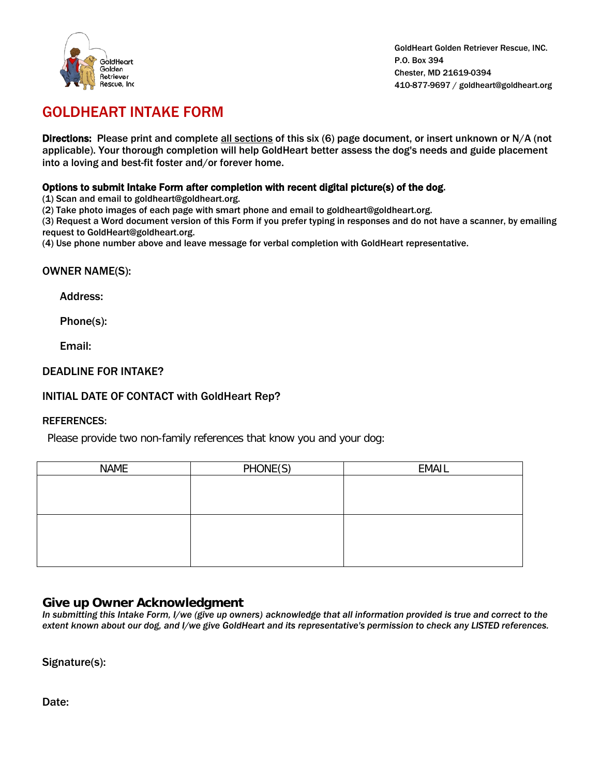

GoldHeart Golden Retriever Rescue, INC. P.O. Box 394 Chester, MD 21619-0394 410-877-9697 / goldheart@goldheart.org

# GOLDHEART INTAKE FORM

Directions: Please print and complete all sections of this six (6) page document, or insert unknown or N/A (not applicable). Your thorough completion will help GoldHeart better assess the dog's needs and guide placement into a loving and best-fit foster and/or forever home.

## Options to submit Intake Form after completion with recent digital picture(s) of the dog.

(1) Scan and email to goldheart@goldheart.org.

(2) Take photo images of each page with smart phone and email to goldheart@goldheart.org.

(3) Request a Word document version of this Form if you prefer typing in responses and do not have a scanner, by emailing request to GoldHeart@goldheart.org.

(4) Use phone number above and leave message for verbal completion with GoldHeart representative.

## OWNER NAME(S):

Address:

Phone(s):

Email:

## DEADLINE FOR INTAKE?

## INITIAL DATE OF CONTACT with GoldHeart Rep?

#### REFERENCES:

Please provide two non-family references that know you and your dog:

| <b>NAME</b> | PHONE(S) | <b>EMAIL</b> |
|-------------|----------|--------------|
|             |          |              |
|             |          |              |
|             |          |              |
|             |          |              |
|             |          |              |
|             |          |              |
|             |          |              |

# **Give up Owner Acknowledgment**

*In submitting this Intake Form, I/we (give up owners) acknowledge that all information provided is true and correct to the extent known about our dog, and I/we give GoldHeart and its representative's permission to check any LISTED references.*

Signature(s):

Date: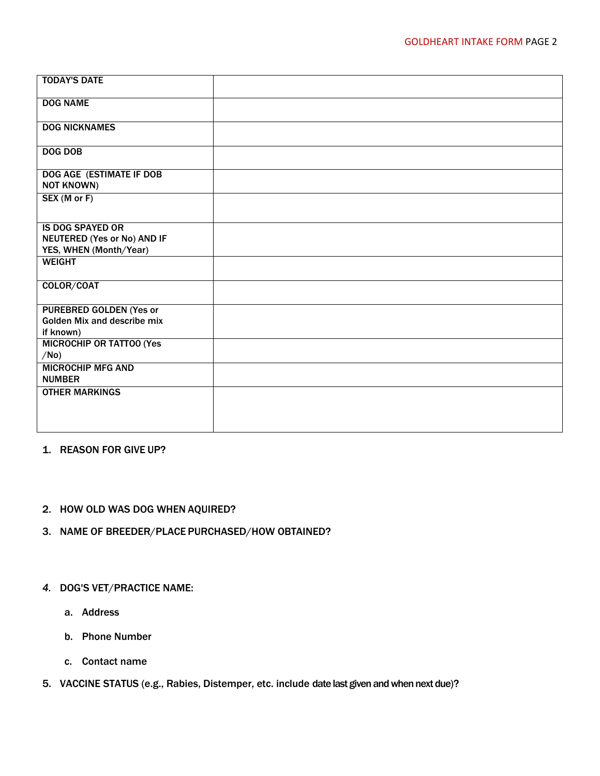| <b>TODAY'S DATE</b>                                                                     |  |
|-----------------------------------------------------------------------------------------|--|
| <b>DOG NAME</b>                                                                         |  |
| <b>DOG NICKNAMES</b>                                                                    |  |
| <b>DOG DOB</b>                                                                          |  |
| DOG AGE (ESTIMATE IF DOB<br><b>NOT KNOWN)</b>                                           |  |
| SEX (M or F)                                                                            |  |
| <b>IS DOG SPAYED OR</b><br><b>NEUTERED (Yes or No) AND IF</b><br>YES, WHEN (Month/Year) |  |
| <b>WEIGHT</b>                                                                           |  |
| COLOR/COAT                                                                              |  |
| <b>PUREBRED GOLDEN (Yes or</b><br>Golden Mix and describe mix<br>if known)              |  |
| <b>MICROCHIP OR TATTOO (Yes)</b><br>/No)                                                |  |
| <b>MICROCHIP MFG AND</b><br><b>NUMBER</b>                                               |  |
| <b>OTHER MARKINGS</b>                                                                   |  |

# 1. REASON FOR GIVE UP?

## 2. HOW OLD WAS DOG WHEN AQUIRED?

3. NAME OF BREEDER/PLACE PURCHASED/HOW OBTAINED?

# *4.* DOG'S VET/PRACTICE NAME:

- a. Address
- b. Phone Number
- c. Contact name
- 5. VACCINE STATUS (e.g., Rabies, Distemper, etc. include date last given and when next due)?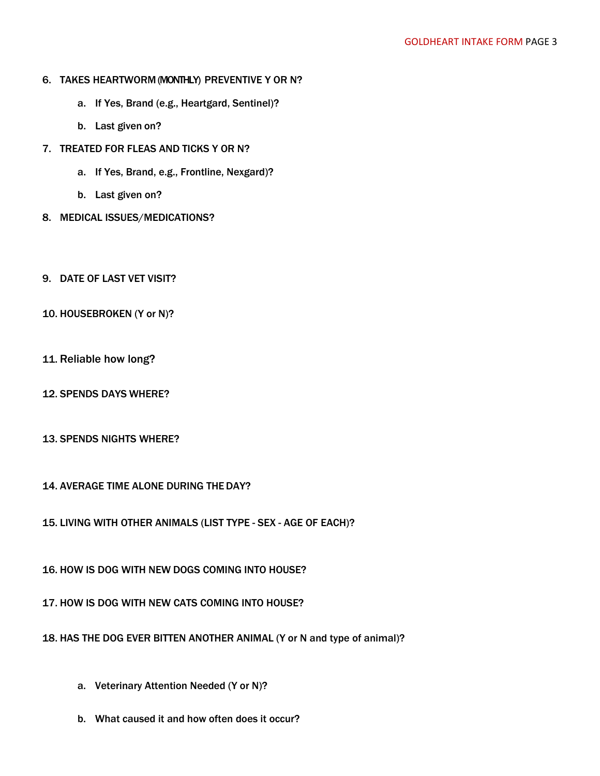#### 6. TAKES HEARTWORM (MONTHLY) PREVENTIVE Y OR N?

- a. If Yes, Brand (e.g., Heartgard, Sentinel)?
- b. Last given on?
- 7. TREATED FOR FLEAS AND TICKS Y OR N?
	- a. If Yes, Brand, e.g., Frontline, Nexgard)?
	- b. Last given on?
- 8. MEDICAL ISSUES/MEDICATIONS?
- 9. DATE OF LAST VET VISIT?
- 10. HOUSEBROKEN (Y or N)?
- 11. Reliable how long?
- 12. SPENDS DAYS WHERE?
- 13. SPENDS NIGHTS WHERE?
- 14. AVERAGE TIME ALONE DURING THEDAY?
- 15. LIVING WITH OTHER ANIMALS (LIST TYPE SEX AGE OF EACH)?
- 16. HOW IS DOG WITH NEW DOGS COMING INTO HOUSE?
- 17. HOW IS DOG WITH NEW CATS COMING INTO HOUSE?
- 18. HAS THE DOG EVER BITTEN ANOTHER ANIMAL (Y or N and type of animal)?
	- a. Veterinary Attention Needed (Y or N)?
	- b. What caused it and how often does it occur?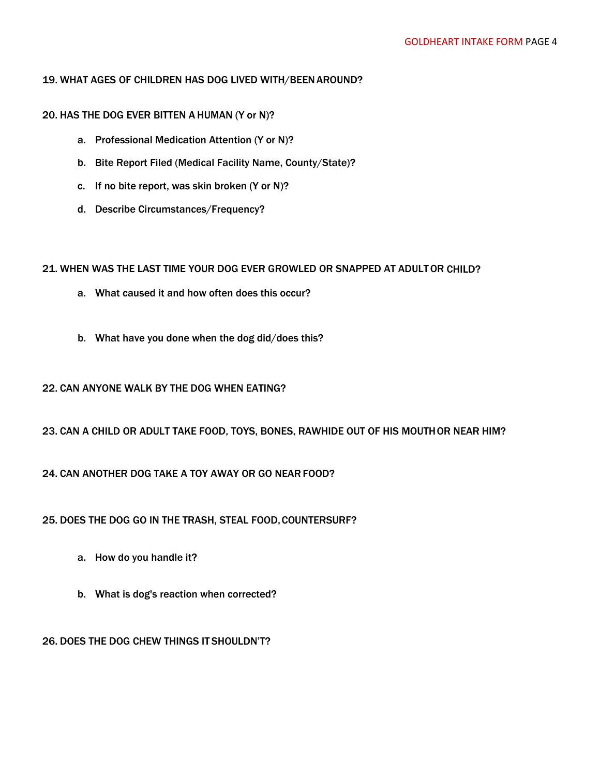## 19. WHAT AGES OF CHILDREN HAS DOG LIVED WITH/BEENAROUND?

## 20. HAS THE DOG EVER BITTEN A HUMAN (Y or N)?

- a. Professional Medication Attention (Y or N)?
- b. Bite Report Filed (Medical Facility Name, County/State)?
- c. If no bite report, was skin broken (Y or N)?
- d. Describe Circumstances/Frequency?

# 21. WHEN WAS THE LAST TIME YOUR DOG EVER GROWLED OR SNAPPED AT ADULTOR CHILD?

- a. What caused it and how often does this occur?
- b. What have you done when the dog did/does this?

# 22. CAN ANYONE WALK BY THE DOG WHEN EATING?

# 23. CAN A CHILD OR ADULT TAKE FOOD, TOYS, BONES, RAWHIDE OUT OF HIS MOUTHOR NEAR HIM?

# 24. CAN ANOTHER DOG TAKE A TOY AWAY OR GO NEARFOOD?

25. DOES THE DOG GO IN THE TRASH, STEAL FOOD,COUNTERSURF?

- a. How do you handle it?
- b. What is dog's reaction when corrected?

26. DOES THE DOG CHEW THINGS IT SHOULDN'T?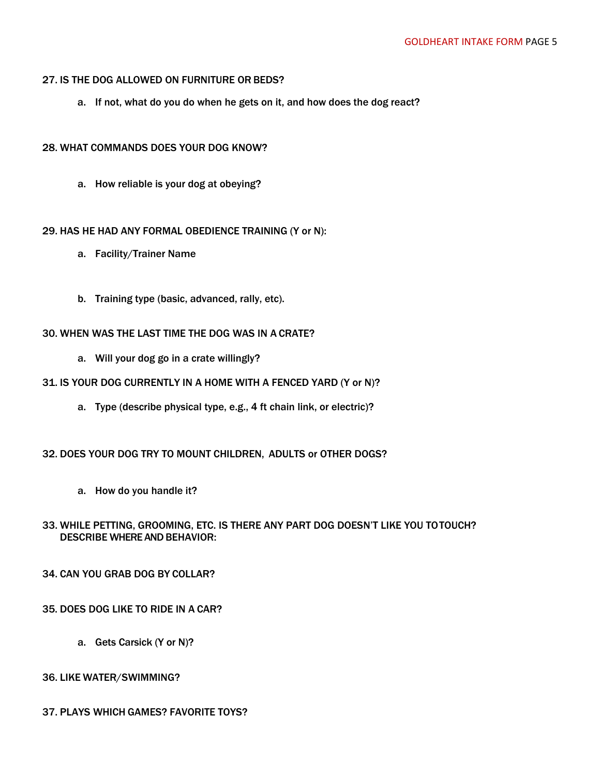#### 27. IS THE DOG ALLOWED ON FURNITURE OR BEDS?

a. If not, what do you do when he gets on it, and how does the dog react?

## 28. WHAT COMMANDS DOES YOUR DOG KNOW?

a. How reliable is your dog at obeying?

# 29. HAS HE HAD ANY FORMAL OBEDIENCE TRAINING (Y or N):

- a. Facility/Trainer Name
- b. Training type (basic, advanced, rally, etc).

# 30. WHEN WAS THE LAST TIME THE DOG WAS IN A CRATE?

a. Will your dog go in a crate willingly?

## 31. IS YOUR DOG CURRENTLY IN A HOME WITH A FENCED YARD (Y or N)?

a. Type (describe physical type, e.g., 4 ft chain link, or electric)?

## 32. DOES YOUR DOG TRY TO MOUNT CHILDREN, ADULTS or OTHER DOGS?

a. How do you handle it?

# 33. WHILE PETTING, GROOMING, ETC. IS THERE ANY PART DOG DOESN'T LIKE YOU TOTOUCH? DESCRIBE WHERE AND BEHAVIOR:

## 34. CAN YOU GRAB DOG BY COLLAR?

## 35. DOES DOG LIKE TO RIDE IN A CAR?

a. Gets Carsick (Y or N)?

## 36. LIKE WATER/SWIMMING?

## 37. PLAYS WHICH GAMES? FAVORITE TOYS?